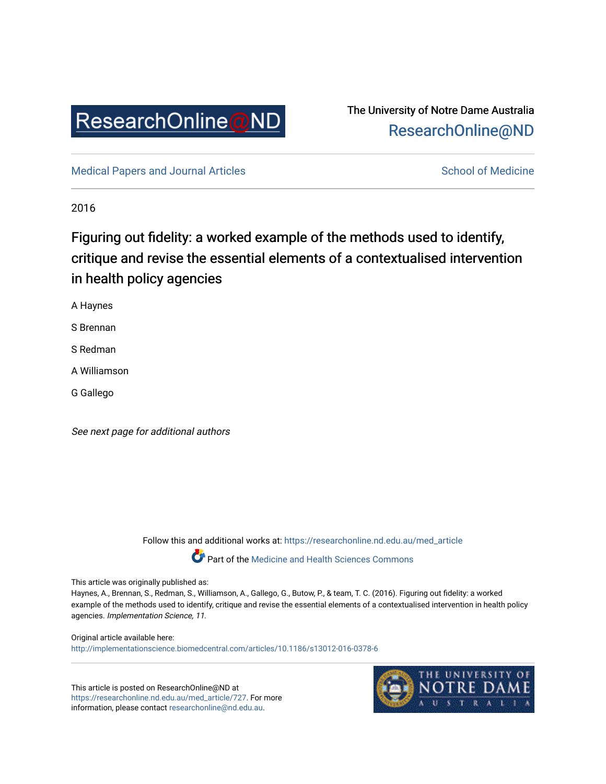

The University of Notre Dame Australia [ResearchOnline@ND](https://researchonline.nd.edu.au/) 

[Medical Papers and Journal Articles](https://researchonline.nd.edu.au/med_article) and School of Medicine

2016

# Figuring out fidelity: a worked example of the methods used to identify, critique and revise the essential elements of a contextualised intervention in health policy agencies

A Haynes

S Brennan

S Redman

A Williamson

G Gallego

See next page for additional authors

Follow this and additional works at: [https://researchonline.nd.edu.au/med\\_article](https://researchonline.nd.edu.au/med_article?utm_source=researchonline.nd.edu.au%2Fmed_article%2F727&utm_medium=PDF&utm_campaign=PDFCoverPages) 

Part of the [Medicine and Health Sciences Commons](http://network.bepress.com/hgg/discipline/648?utm_source=researchonline.nd.edu.au%2Fmed_article%2F727&utm_medium=PDF&utm_campaign=PDFCoverPages)

This article was originally published as:

Haynes, A., Brennan, S., Redman, S., Williamson, A., Gallego, G., Butow, P., & team, T. C. (2016). Figuring out fidelity: a worked example of the methods used to identify, critique and revise the essential elements of a contextualised intervention in health policy agencies. Implementation Science, 11.

Original article available here: <http://implementationscience.biomedcentral.com/articles/10.1186/s13012-016-0378-6>

This article is posted on ResearchOnline@ND at [https://researchonline.nd.edu.au/med\\_article/727](https://researchonline.nd.edu.au/med_article/727). For more information, please contact [researchonline@nd.edu.au.](mailto:researchonline@nd.edu.au)

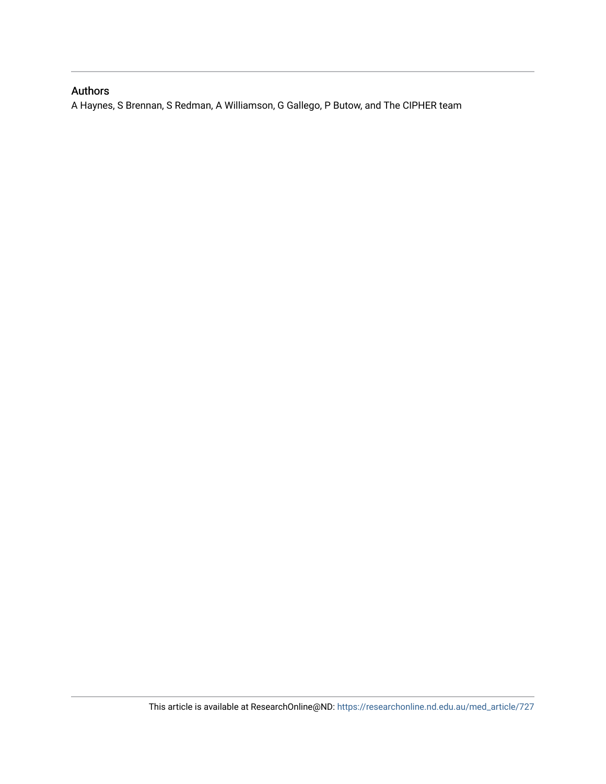# Authors

A Haynes, S Brennan, S Redman, A Williamson, G Gallego, P Butow, and The CIPHER team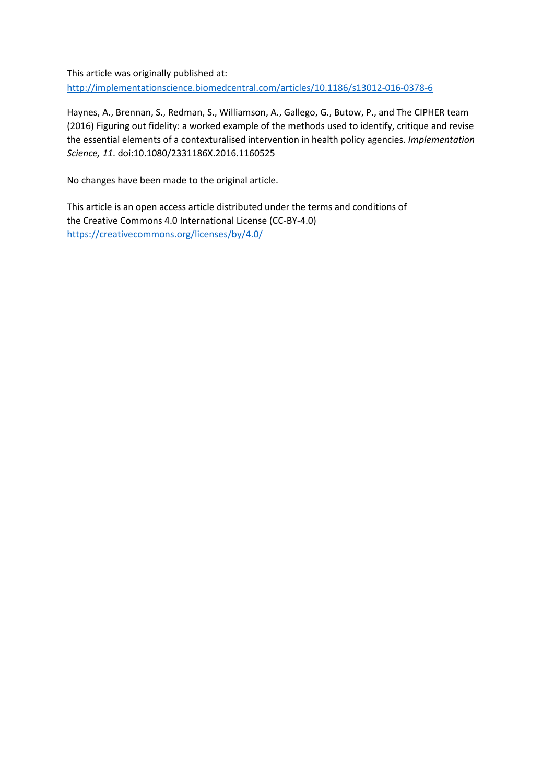This article was originally published at: <http://implementationscience.biomedcentral.com/articles/10.1186/s13012-016-0378-6>

Haynes, A., Brennan, S., Redman, S., Williamson, A., Gallego, G., Butow, P., and The CIPHER team (2016) Figuring out fidelity: a worked example of the methods used to identify, critique and revise the essential elements of a contexturalised intervention in health policy agencies. *Implementation Science, 11*. doi:10.1080/2331186X.2016.1160525

No changes have been made to the original article.

This article is an open access article distributed under the terms and conditions of the Creative Commons 4.0 International License (CC-BY-4.0) htt[ps://creativecommons.org/licenses/by/4.0/](https://creativecommons.org/licenses/by/4.0/)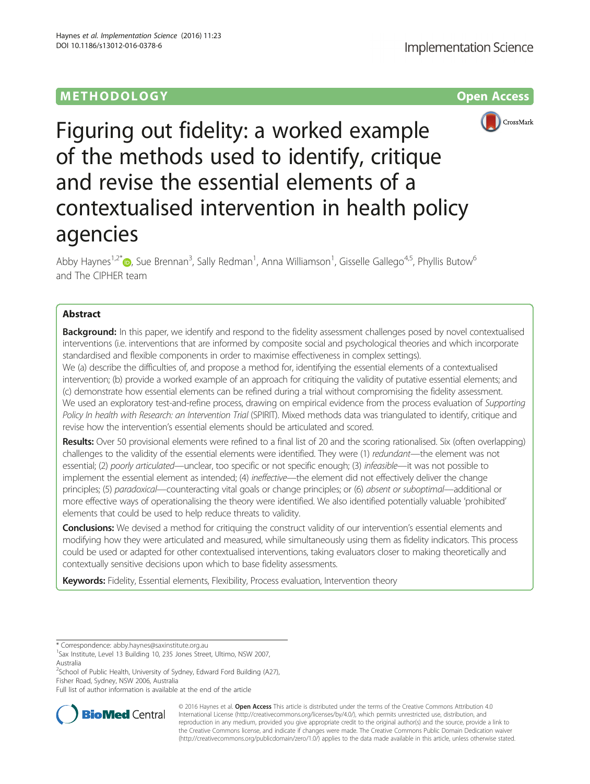METHODOLOGY CONTROL CONTROL CONTROL CONTROL CONTROL CONTROL CONTROL CONTROL CONTROL CONTROL CONTROL CONTROL CO

**Implementation Science** 



# Figuring out fidelity: a worked example of the methods used to identify, critique and revise the essential elements of a contextualised intervention in health policy agencies

Abby Haynes<sup>1[,](http://orcid.org/0000-0001-5703-5683)2\*</sup>®, Sue Brennan<sup>3</sup>, Sally Redman<sup>1</sup>, Anna Williamson<sup>1</sup>, Gisselle Gallego<sup>4,5</sup>, Phyllis Butow<sup>6</sup> and The CIPHER team

## Abstract

**Background:** In this paper, we identify and respond to the fidelity assessment challenges posed by novel contextualised interventions (i.e. interventions that are informed by composite social and psychological theories and which incorporate standardised and flexible components in order to maximise effectiveness in complex settings).

We (a) describe the difficulties of, and propose a method for, identifying the essential elements of a contextualised intervention; (b) provide a worked example of an approach for critiquing the validity of putative essential elements; and (c) demonstrate how essential elements can be refined during a trial without compromising the fidelity assessment. We used an exploratory test-and-refine process, drawing on empirical evidence from the process evaluation of Supporting Policy In health with Research: an Intervention Trial (SPIRIT). Mixed methods data was triangulated to identify, critique and revise how the intervention's essential elements should be articulated and scored.

Results: Over 50 provisional elements were refined to a final list of 20 and the scoring rationalised. Six (often overlapping) challenges to the validity of the essential elements were identified. They were (1) redundant—the element was not essential; (2) poorly articulated—unclear, too specific or not specific enough; (3) infeasible—it was not possible to implement the essential element as intended; (4) ineffective—the element did not effectively deliver the change principles; (5) paradoxical—counteracting vital goals or change principles; or (6) absent or suboptimal—additional or more effective ways of operationalising the theory were identified. We also identified potentially valuable 'prohibited' elements that could be used to help reduce threats to validity.

Conclusions: We devised a method for critiquing the construct validity of our intervention's essential elements and modifying how they were articulated and measured, while simultaneously using them as fidelity indicators. This process could be used or adapted for other contextualised interventions, taking evaluators closer to making theoretically and contextually sensitive decisions upon which to base fidelity assessments.

Keywords: Fidelity, Essential elements, Flexibility, Process evaluation, Intervention theory

<sup>2</sup>School of Public Health, University of Sydney, Edward Ford Building (A27), Fisher Road, Sydney, NSW 2006, Australia

Full list of author information is available at the end of the article



© 2016 Haynes et al. Open Access This article is distributed under the terms of the Creative Commons Attribution 4.0 International License [\(http://creativecommons.org/licenses/by/4.0/](http://creativecommons.org/licenses/by/4.0/)), which permits unrestricted use, distribution, and reproduction in any medium, provided you give appropriate credit to the original author(s) and the source, provide a link to the Creative Commons license, and indicate if changes were made. The Creative Commons Public Domain Dedication waiver [\(http://creativecommons.org/publicdomain/zero/1.0/](http://creativecommons.org/publicdomain/zero/1.0/)) applies to the data made available in this article, unless otherwise stated.

<sup>\*</sup> Correspondence: [abby.haynes@saxinstitute.org.au](mailto:abby.haynes@saxinstitute.org.au) <sup>1</sup>

<sup>&</sup>lt;sup>1</sup> Sax Institute, Level 13 Building 10, 235 Jones Street, Ultimo, NSW 2007, Australia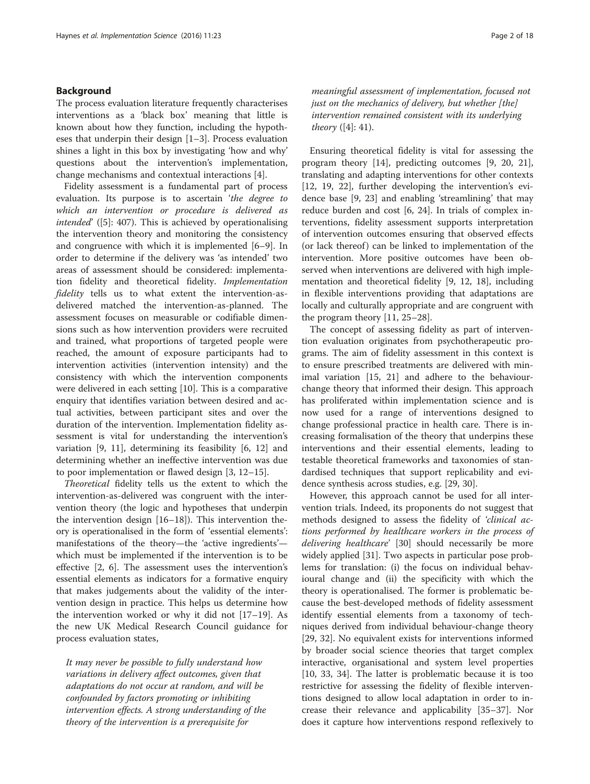#### Background

The process evaluation literature frequently characterises interventions as a 'black box' meaning that little is known about how they function, including the hypotheses that underpin their design [[1](#page-18-0)–[3](#page-19-0)]. Process evaluation shines a light in this box by investigating 'how and why' questions about the intervention's implementation, change mechanisms and contextual interactions [[4](#page-19-0)].

Fidelity assessment is a fundamental part of process evaluation. Its purpose is to ascertain 'the degree to which an intervention or procedure is delivered as intended' ([[5\]](#page-19-0): 407). This is achieved by operationalising the intervention theory and monitoring the consistency and congruence with which it is implemented [[6](#page-19-0)–[9\]](#page-19-0). In order to determine if the delivery was 'as intended' two areas of assessment should be considered: implementation fidelity and theoretical fidelity. Implementation fidelity tells us to what extent the intervention-asdelivered matched the intervention-as-planned. The assessment focuses on measurable or codifiable dimensions such as how intervention providers were recruited and trained, what proportions of targeted people were reached, the amount of exposure participants had to intervention activities (intervention intensity) and the consistency with which the intervention components were delivered in each setting [[10\]](#page-19-0). This is a comparative enquiry that identifies variation between desired and actual activities, between participant sites and over the duration of the intervention. Implementation fidelity assessment is vital for understanding the intervention's variation [\[9](#page-19-0), [11\]](#page-19-0), determining its feasibility [\[6](#page-19-0), [12\]](#page-19-0) and determining whether an ineffective intervention was due to poor implementation or flawed design [[3, 12](#page-19-0)–[15](#page-19-0)].

Theoretical fidelity tells us the extent to which the intervention-as-delivered was congruent with the intervention theory (the logic and hypotheses that underpin the intervention design [\[16](#page-19-0)–[18\]](#page-19-0)). This intervention theory is operationalised in the form of 'essential elements': manifestations of the theory—the 'active ingredients' which must be implemented if the intervention is to be effective [\[2](#page-19-0), [6\]](#page-19-0). The assessment uses the intervention's essential elements as indicators for a formative enquiry that makes judgements about the validity of the intervention design in practice. This helps us determine how the intervention worked or why it did not [[17](#page-19-0)–[19](#page-19-0)]. As the new UK Medical Research Council guidance for process evaluation states,

It may never be possible to fully understand how variations in delivery affect outcomes, given that adaptations do not occur at random, and will be confounded by factors promoting or inhibiting intervention effects. A strong understanding of the theory of the intervention is a prerequisite for

meaningful assessment of implementation, focused not just on the mechanics of delivery, but whether [the] intervention remained consistent with its underlying *theory* ([\[4](#page-19-0)]: 41).

Ensuring theoretical fidelity is vital for assessing the program theory [\[14](#page-19-0)], predicting outcomes [\[9, 20](#page-19-0), [21](#page-19-0)], translating and adapting interventions for other contexts [[12, 19, 22\]](#page-19-0), further developing the intervention's evidence base [\[9](#page-19-0), [23](#page-19-0)] and enabling 'streamlining' that may reduce burden and cost [[6, 24\]](#page-19-0). In trials of complex interventions, fidelity assessment supports interpretation of intervention outcomes ensuring that observed effects (or lack thereof) can be linked to implementation of the intervention. More positive outcomes have been observed when interventions are delivered with high implementation and theoretical fidelity [\[9](#page-19-0), [12](#page-19-0), [18\]](#page-19-0), including in flexible interventions providing that adaptations are locally and culturally appropriate and are congruent with the program theory [[11](#page-19-0), [25](#page-19-0)–[28](#page-19-0)].

The concept of assessing fidelity as part of intervention evaluation originates from psychotherapeutic programs. The aim of fidelity assessment in this context is to ensure prescribed treatments are delivered with minimal variation [[15](#page-19-0), [21\]](#page-19-0) and adhere to the behaviourchange theory that informed their design. This approach has proliferated within implementation science and is now used for a range of interventions designed to change professional practice in health care. There is increasing formalisation of the theory that underpins these interventions and their essential elements, leading to testable theoretical frameworks and taxonomies of standardised techniques that support replicability and evidence synthesis across studies, e.g. [\[29, 30\]](#page-19-0).

However, this approach cannot be used for all intervention trials. Indeed, its proponents do not suggest that methods designed to assess the fidelity of 'clinical actions performed by healthcare workers in the process of delivering healthcare' [\[30](#page-19-0)] should necessarily be more widely applied [\[31](#page-19-0)]. Two aspects in particular pose problems for translation: (i) the focus on individual behavioural change and (ii) the specificity with which the theory is operationalised. The former is problematic because the best-developed methods of fidelity assessment identify essential elements from a taxonomy of techniques derived from individual behaviour-change theory [[29, 32\]](#page-19-0). No equivalent exists for interventions informed by broader social science theories that target complex interactive, organisational and system level properties [[10, 33, 34\]](#page-19-0). The latter is problematic because it is too restrictive for assessing the fidelity of flexible interventions designed to allow local adaptation in order to increase their relevance and applicability [\[35](#page-19-0)–[37\]](#page-19-0). Nor does it capture how interventions respond reflexively to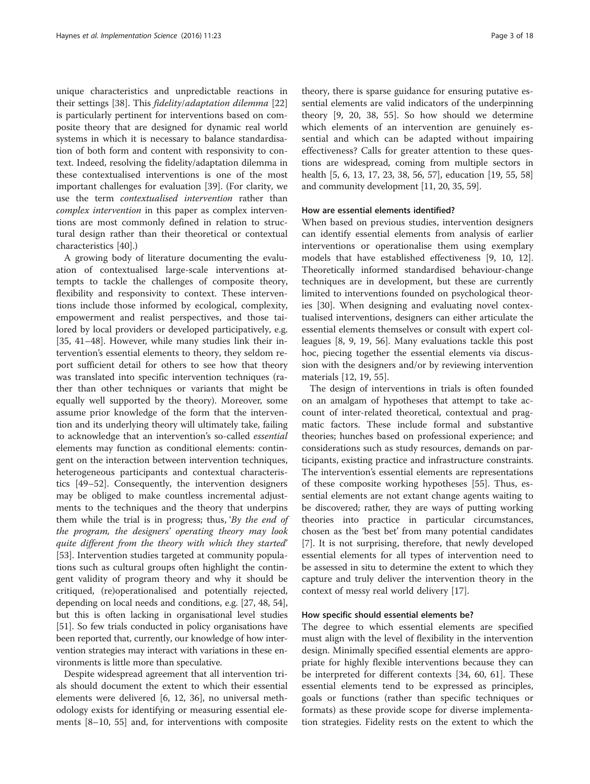unique characteristics and unpredictable reactions in their settings [\[38\]](#page-19-0). This fidelity/adaptation dilemma [[22](#page-19-0)] is particularly pertinent for interventions based on composite theory that are designed for dynamic real world systems in which it is necessary to balance standardisation of both form and content with responsivity to context. Indeed, resolving the fidelity/adaptation dilemma in these contextualised interventions is one of the most important challenges for evaluation [[39\]](#page-19-0). (For clarity, we use the term contextualised intervention rather than complex intervention in this paper as complex interventions are most commonly defined in relation to structural design rather than their theoretical or contextual characteristics [[40\]](#page-19-0).)

A growing body of literature documenting the evaluation of contextualised large-scale interventions attempts to tackle the challenges of composite theory, flexibility and responsivity to context. These interventions include those informed by ecological, complexity, empowerment and realist perspectives, and those tailored by local providers or developed participatively, e.g. [[35, 41](#page-19-0)–[48](#page-20-0)]. However, while many studies link their intervention's essential elements to theory, they seldom report sufficient detail for others to see how that theory was translated into specific intervention techniques (rather than other techniques or variants that might be equally well supported by the theory). Moreover, some assume prior knowledge of the form that the intervention and its underlying theory will ultimately take, failing to acknowledge that an intervention's so-called essential elements may function as conditional elements: contingent on the interaction between intervention techniques, heterogeneous participants and contextual characteristics [\[49](#page-20-0)–[52\]](#page-20-0). Consequently, the intervention designers may be obliged to make countless incremental adjustments to the techniques and the theory that underpins them while the trial is in progress; thus, 'By the end of the program, the designers' operating theory may look quite different from the theory with which they started' [[53\]](#page-20-0). Intervention studies targeted at community populations such as cultural groups often highlight the contingent validity of program theory and why it should be critiqued, (re)operationalised and potentially rejected, depending on local needs and conditions, e.g. [\[27,](#page-19-0) [48, 54](#page-20-0)], but this is often lacking in organisational level studies [[51](#page-20-0)]. So few trials conducted in policy organisations have been reported that, currently, our knowledge of how intervention strategies may interact with variations in these environments is little more than speculative.

Despite widespread agreement that all intervention trials should document the extent to which their essential elements were delivered [[6](#page-19-0), [12](#page-19-0), [36](#page-19-0)], no universal methodology exists for identifying or measuring essential elements [[8](#page-19-0)–[10](#page-19-0), [55](#page-20-0)] and, for interventions with composite

theory, there is sparse guidance for ensuring putative essential elements are valid indicators of the underpinning theory [[9, 20](#page-19-0), [38,](#page-19-0) [55](#page-20-0)]. So how should we determine which elements of an intervention are genuinely essential and which can be adapted without impairing effectiveness? Calls for greater attention to these questions are widespread, coming from multiple sectors in health [[5, 6, 13](#page-19-0), [17](#page-19-0), [23](#page-19-0), [38](#page-19-0), [56](#page-20-0), [57](#page-20-0)], education [[19](#page-19-0), [55](#page-20-0), [58](#page-20-0)] and community development [\[11, 20](#page-19-0), [35](#page-19-0), [59\]](#page-20-0).

#### How are essential elements identified?

When based on previous studies, intervention designers can identify essential elements from analysis of earlier interventions or operationalise them using exemplary models that have established effectiveness [[9, 10, 12](#page-19-0)]. Theoretically informed standardised behaviour-change techniques are in development, but these are currently limited to interventions founded on psychological theories [\[30\]](#page-19-0). When designing and evaluating novel contextualised interventions, designers can either articulate the essential elements themselves or consult with expert colleagues [\[8](#page-19-0), [9](#page-19-0), [19](#page-19-0), [56\]](#page-20-0). Many evaluations tackle this post hoc, piecing together the essential elements via discussion with the designers and/or by reviewing intervention materials [[12, 19,](#page-19-0) [55\]](#page-20-0).

The design of interventions in trials is often founded on an amalgam of hypotheses that attempt to take account of inter-related theoretical, contextual and pragmatic factors. These include formal and substantive theories; hunches based on professional experience; and considerations such as study resources, demands on participants, existing practice and infrastructure constraints. The intervention's essential elements are representations of these composite working hypotheses [\[55](#page-20-0)]. Thus, essential elements are not extant change agents waiting to be discovered; rather, they are ways of putting working theories into practice in particular circumstances, chosen as the 'best bet' from many potential candidates [[7\]](#page-19-0). It is not surprising, therefore, that newly developed essential elements for all types of intervention need to be assessed in situ to determine the extent to which they capture and truly deliver the intervention theory in the context of messy real world delivery [[17\]](#page-19-0).

#### How specific should essential elements be?

The degree to which essential elements are specified must align with the level of flexibility in the intervention design. Minimally specified essential elements are appropriate for highly flexible interventions because they can be interpreted for different contexts [\[34](#page-19-0), [60, 61\]](#page-20-0). These essential elements tend to be expressed as principles, goals or functions (rather than specific techniques or formats) as these provide scope for diverse implementation strategies. Fidelity rests on the extent to which the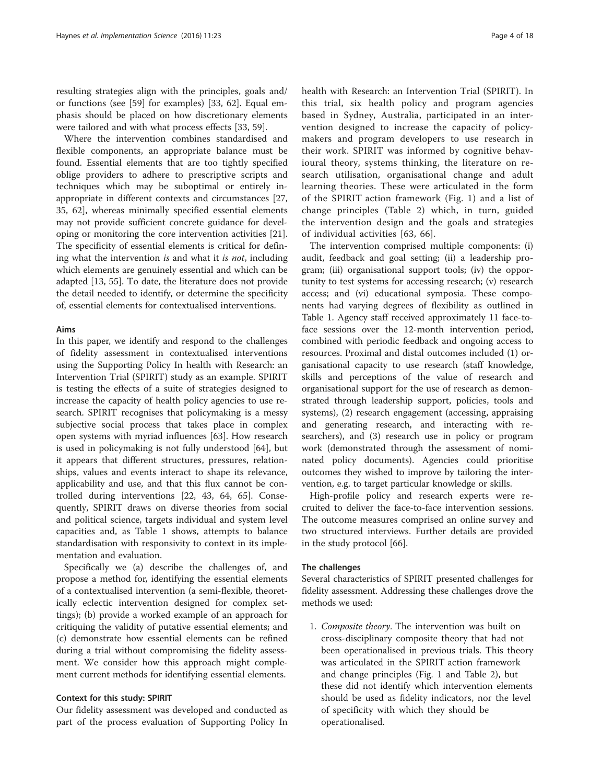resulting strategies align with the principles, goals and/ or functions (see [[59](#page-20-0)] for examples) [\[33](#page-19-0), [62\]](#page-20-0). Equal emphasis should be placed on how discretionary elements were tailored and with what process effects [[33,](#page-19-0) [59\]](#page-20-0).

Where the intervention combines standardised and flexible components, an appropriate balance must be found. Essential elements that are too tightly specified oblige providers to adhere to prescriptive scripts and techniques which may be suboptimal or entirely inappropriate in different contexts and circumstances [[27](#page-19-0), [35,](#page-19-0) [62\]](#page-20-0), whereas minimally specified essential elements may not provide sufficient concrete guidance for developing or monitoring the core intervention activities [\[21](#page-19-0)]. The specificity of essential elements is critical for defining what the intervention is and what it is not, including which elements are genuinely essential and which can be adapted [[13,](#page-19-0) [55\]](#page-20-0). To date, the literature does not provide the detail needed to identify, or determine the specificity of, essential elements for contextualised interventions.

#### Aims

In this paper, we identify and respond to the challenges of fidelity assessment in contextualised interventions using the Supporting Policy In health with Research: an Intervention Trial (SPIRIT) study as an example. SPIRIT is testing the effects of a suite of strategies designed to increase the capacity of health policy agencies to use research. SPIRIT recognises that policymaking is a messy subjective social process that takes place in complex open systems with myriad influences [\[63](#page-20-0)]. How research is used in policymaking is not fully understood [\[64](#page-20-0)], but it appears that different structures, pressures, relationships, values and events interact to shape its relevance, applicability and use, and that this flux cannot be controlled during interventions [[22, 43,](#page-19-0) [64](#page-20-0), [65](#page-20-0)]. Consequently, SPIRIT draws on diverse theories from social and political science, targets individual and system level capacities and, as Table [1](#page-7-0) shows, attempts to balance standardisation with responsivity to context in its implementation and evaluation.

Specifically we (a) describe the challenges of, and propose a method for, identifying the essential elements of a contextualised intervention (a semi-flexible, theoretically eclectic intervention designed for complex settings); (b) provide a worked example of an approach for critiquing the validity of putative essential elements; and (c) demonstrate how essential elements can be refined during a trial without compromising the fidelity assessment. We consider how this approach might complement current methods for identifying essential elements.

## Context for this study: SPIRIT

Our fidelity assessment was developed and conducted as part of the process evaluation of Supporting Policy In health with Research: an Intervention Trial (SPIRIT). In this trial, six health policy and program agencies based in Sydney, Australia, participated in an intervention designed to increase the capacity of policymakers and program developers to use research in their work. SPIRIT was informed by cognitive behavioural theory, systems thinking, the literature on research utilisation, organisational change and adult learning theories. These were articulated in the form of the SPIRIT action framework (Fig. [1](#page-8-0)) and a list of change principles (Table [2\)](#page-9-0) which, in turn, guided the intervention design and the goals and strategies of individual activities [[63, 66](#page-20-0)].

The intervention comprised multiple components: (i) audit, feedback and goal setting; (ii) a leadership program; (iii) organisational support tools; (iv) the opportunity to test systems for accessing research; (v) research access; and (vi) educational symposia. These components had varying degrees of flexibility as outlined in Table [1](#page-7-0). Agency staff received approximately 11 face-toface sessions over the 12-month intervention period, combined with periodic feedback and ongoing access to resources. Proximal and distal outcomes included (1) organisational capacity to use research (staff knowledge, skills and perceptions of the value of research and organisational support for the use of research as demonstrated through leadership support, policies, tools and systems), (2) research engagement (accessing, appraising and generating research, and interacting with researchers), and (3) research use in policy or program work (demonstrated through the assessment of nominated policy documents). Agencies could prioritise outcomes they wished to improve by tailoring the intervention, e.g. to target particular knowledge or skills.

High-profile policy and research experts were recruited to deliver the face-to-face intervention sessions. The outcome measures comprised an online survey and two structured interviews. Further details are provided in the study protocol [[66\]](#page-20-0).

#### The challenges

Several characteristics of SPIRIT presented challenges for fidelity assessment. Addressing these challenges drove the methods we used:

1. Composite theory. The intervention was built on cross-disciplinary composite theory that had not been operationalised in previous trials. This theory was articulated in the SPIRIT action framework and change principles (Fig. [1](#page-8-0) and Table [2](#page-9-0)), but these did not identify which intervention elements should be used as fidelity indicators, nor the level of specificity with which they should be operationalised.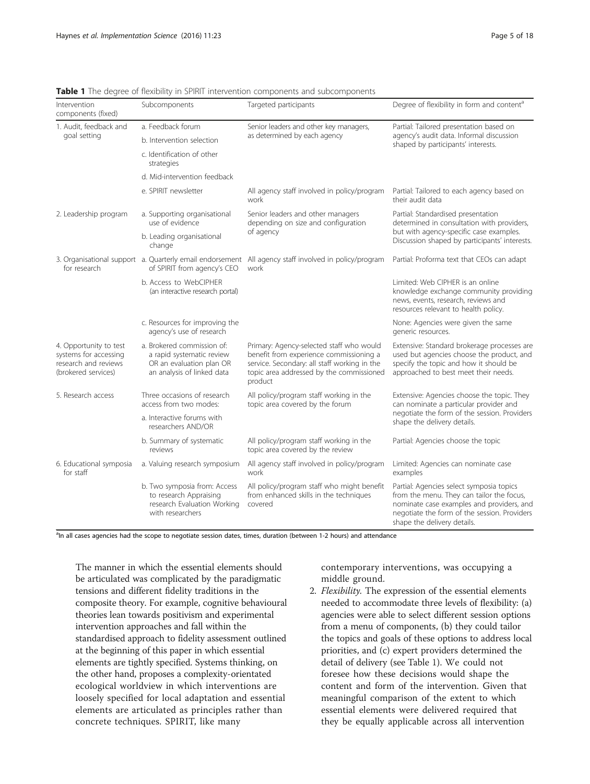Intervention components (fixed)

1. Audit, feedback and goal setting

|                                          | flexibility in SPIRIT intervention components and subcomponents |                                                                                |
|------------------------------------------|-----------------------------------------------------------------|--------------------------------------------------------------------------------|
| Subcomponents                            | Targeted participants                                           | Degree of flexibility in form and content <sup>a</sup>                         |
| a. Feedback forum                        | Senior leaders and other key managers,                          | Partial: Tailored presentation based on                                        |
| b. Intervention selection                | as determined by each agency                                    | agency's audit data. Informal discussion<br>shaped by participants' interests. |
| c. Identification of other<br>ctratonigs |                                                                 |                                                                                |

their audit data

Partial: Tailored to each agency based on

Partial: Standardised presentation

<span id="page-7-0"></span>Table 1 The degree of flexibility in SPIRIT intervention components

b. Intervention selection c. Identification of other strategies

d. Mid-intervention feedback

e. SPIRIT newsletter All agency staff involved in policy/program work

| 2. Leadership program                                                                          | a. Supporting organisational<br>use of evidence                                                                   | Senior leaders and other managers<br>depending on size and configuration                                                                                                                   | Partial: Standardised presentation<br>determined in consultation with providers,                                                                                                                                  |  |  |
|------------------------------------------------------------------------------------------------|-------------------------------------------------------------------------------------------------------------------|--------------------------------------------------------------------------------------------------------------------------------------------------------------------------------------------|-------------------------------------------------------------------------------------------------------------------------------------------------------------------------------------------------------------------|--|--|
|                                                                                                | b. Leading organisational<br>change                                                                               | of agency                                                                                                                                                                                  | but with agency-specific case examples.<br>Discussion shaped by participants' interests.                                                                                                                          |  |  |
| for research                                                                                   | of SPIRIT from agency's CEO                                                                                       | 3. Organisational support a. Quarterly email endorsement All agency staff involved in policy/program<br>work                                                                               | Partial: Proforma text that CEOs can adapt                                                                                                                                                                        |  |  |
|                                                                                                | b. Access to WebCIPHER<br>(an interactive research portal)                                                        |                                                                                                                                                                                            | Limited: Web CIPHER is an online<br>knowledge exchange community providing<br>news, events, research, reviews and<br>resources relevant to health policy.                                                         |  |  |
|                                                                                                | c. Resources for improving the<br>agency's use of research                                                        |                                                                                                                                                                                            | None: Agencies were given the same<br>generic resources.                                                                                                                                                          |  |  |
| 4. Opportunity to test<br>systems for accessing<br>research and reviews<br>(brokered services) | a. Brokered commission of:<br>a rapid systematic review<br>OR an evaluation plan OR<br>an analysis of linked data | Primary: Agency-selected staff who would<br>benefit from experience commissioning a<br>service. Secondary: all staff working in the<br>topic area addressed by the commissioned<br>product | Extensive: Standard brokerage processes are<br>used but agencies choose the product, and<br>specify the topic and how it should be<br>approached to best meet their needs.                                        |  |  |
| 5. Research access                                                                             | Three occasions of research<br>access from two modes:                                                             | All policy/program staff working in the<br>topic area covered by the forum                                                                                                                 | Extensive: Agencies choose the topic. They<br>can nominate a particular provider and                                                                                                                              |  |  |
|                                                                                                | a. Interactive forums with<br>researchers AND/OR                                                                  |                                                                                                                                                                                            | negotiate the form of the session. Providers<br>shape the delivery details.                                                                                                                                       |  |  |
|                                                                                                | b. Summary of systematic<br>reviews                                                                               | All policy/program staff working in the<br>topic area covered by the review                                                                                                                | Partial: Agencies choose the topic                                                                                                                                                                                |  |  |
| 6. Educational symposia<br>for staff                                                           | a. Valuing research symposium                                                                                     | All agency staff involved in policy/program<br>work                                                                                                                                        | Limited: Agencies can nominate case<br>examples                                                                                                                                                                   |  |  |
|                                                                                                | b. Two symposia from: Access<br>to research Appraising<br>research Evaluation Working<br>with researchers         | All policy/program staff who might benefit<br>from enhanced skills in the techniques<br>covered                                                                                            | Partial: Agencies select symposia topics<br>from the menu. They can tailor the focus,<br>nominate case examples and providers, and<br>negotiate the form of the session. Providers<br>shape the delivery details. |  |  |

<sup>a</sup>ln all cases agencies had the scope to negotiate session dates, times, duration (between 1-2 hours) and attendance

The manner in which the essential elements should be articulated was complicated by the paradigmatic tensions and different fidelity traditions in the composite theory. For example, cognitive behavioural theories lean towards positivism and experimental intervention approaches and fall within the standardised approach to fidelity assessment outlined at the beginning of this paper in which essential elements are tightly specified. Systems thinking, on the other hand, proposes a complexity-orientated ecological worldview in which interventions are loosely specified for local adaptation and essential elements are articulated as principles rather than concrete techniques. SPIRIT, like many

contemporary interventions, was occupying a middle ground.

2. Flexibility. The expression of the essential elements needed to accommodate three levels of flexibility: (a) agencies were able to select different session options from a menu of components, (b) they could tailor the topics and goals of these options to address local priorities, and (c) expert providers determined the detail of delivery (see Table 1). We could not foresee how these decisions would shape the content and form of the intervention. Given that meaningful comparison of the extent to which essential elements were delivered required that they be equally applicable across all intervention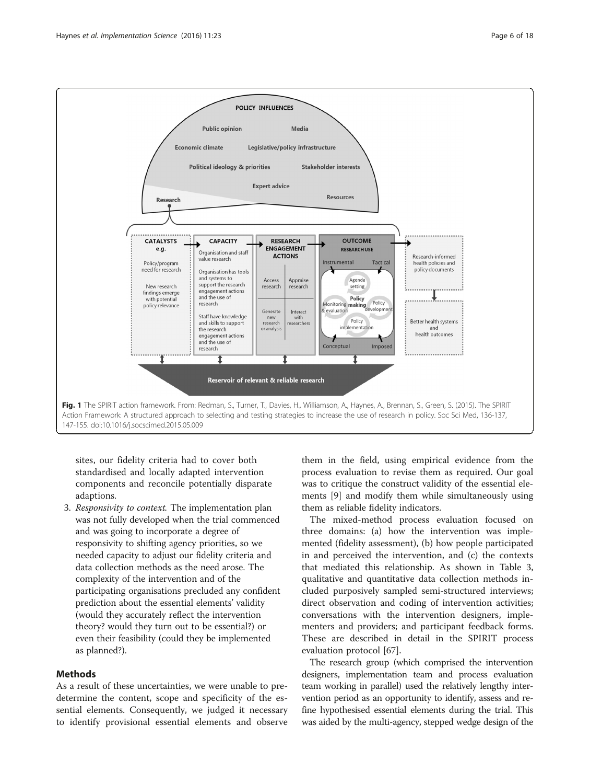<span id="page-8-0"></span>

sites, our fidelity criteria had to cover both standardised and locally adapted intervention components and reconcile potentially disparate adaptions.

3. Responsivity to context. The implementation plan was not fully developed when the trial commenced and was going to incorporate a degree of responsivity to shifting agency priorities, so we needed capacity to adjust our fidelity criteria and data collection methods as the need arose. The complexity of the intervention and of the participating organisations precluded any confident prediction about the essential elements' validity (would they accurately reflect the intervention theory? would they turn out to be essential?) or even their feasibility (could they be implemented as planned?).

#### Methods

As a result of these uncertainties, we were unable to predetermine the content, scope and specificity of the essential elements. Consequently, we judged it necessary to identify provisional essential elements and observe them in the field, using empirical evidence from the process evaluation to revise them as required. Our goal was to critique the construct validity of the essential elements [\[9\]](#page-19-0) and modify them while simultaneously using them as reliable fidelity indicators.

The mixed-method process evaluation focused on three domains: (a) how the intervention was implemented (fidelity assessment), (b) how people participated in and perceived the intervention, and (c) the contexts that mediated this relationship. As shown in Table [3](#page-10-0), qualitative and quantitative data collection methods included purposively sampled semi-structured interviews; direct observation and coding of intervention activities; conversations with the intervention designers, implementers and providers; and participant feedback forms. These are described in detail in the SPIRIT process evaluation protocol [\[67\]](#page-20-0).

The research group (which comprised the intervention designers, implementation team and process evaluation team working in parallel) used the relatively lengthy intervention period as an opportunity to identify, assess and refine hypothesised essential elements during the trial. This was aided by the multi-agency, stepped wedge design of the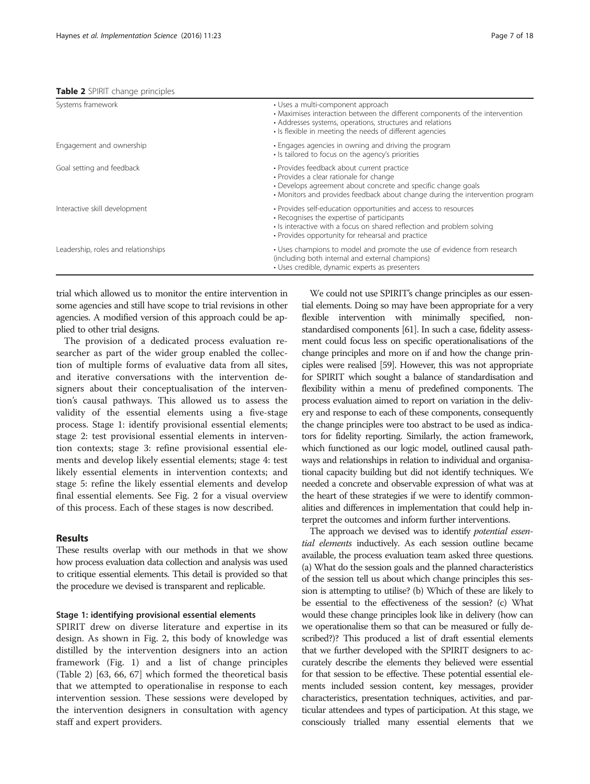<span id="page-9-0"></span>

|  |  |  |  | Table 2 SPIRIT change principles |
|--|--|--|--|----------------------------------|
|--|--|--|--|----------------------------------|

| Systems framework                   | • Uses a multi-component approach<br>• Maximises interaction between the different components of the intervention<br>• Addresses systems, operations, structures and relations<br>• Is flexible in meeting the needs of different agencies   |
|-------------------------------------|----------------------------------------------------------------------------------------------------------------------------------------------------------------------------------------------------------------------------------------------|
| Engagement and ownership            | • Engages agencies in owning and driving the program<br>• Is tailored to focus on the agency's priorities                                                                                                                                    |
| Goal setting and feedback           | • Provides feedback about current practice<br>• Provides a clear rationale for change<br>• Develops agreement about concrete and specific change goals<br>• Monitors and provides feedback about change during the intervention program      |
| Interactive skill development       | • Provides self-education opportunities and access to resources<br>• Recognises the expertise of participants<br>• Is interactive with a focus on shared reflection and problem solving<br>• Provides opportunity for rehearsal and practice |
| Leadership, roles and relationships | • Uses champions to model and promote the use of evidence from research<br>(including both internal and external champions)<br>• Uses credible, dynamic experts as presenters                                                                |

trial which allowed us to monitor the entire intervention in some agencies and still have scope to trial revisions in other agencies. A modified version of this approach could be applied to other trial designs.

The provision of a dedicated process evaluation researcher as part of the wider group enabled the collection of multiple forms of evaluative data from all sites, and iterative conversations with the intervention designers about their conceptualisation of the intervention's causal pathways. This allowed us to assess the validity of the essential elements using a five-stage process. Stage 1: identify provisional essential elements; stage 2: test provisional essential elements in intervention contexts; stage 3: refine provisional essential elements and develop likely essential elements; stage 4: test likely essential elements in intervention contexts; and stage 5: refine the likely essential elements and develop final essential elements. See Fig. [2](#page-11-0) for a visual overview of this process. Each of these stages is now described.

#### Results

These results overlap with our methods in that we show how process evaluation data collection and analysis was used to critique essential elements. This detail is provided so that the procedure we devised is transparent and replicable.

#### Stage 1: identifying provisional essential elements

SPIRIT drew on diverse literature and expertise in its design. As shown in Fig. [2](#page-11-0), this body of knowledge was distilled by the intervention designers into an action framework (Fig. [1](#page-8-0)) and a list of change principles (Table 2) [\[63, 66](#page-20-0), [67\]](#page-20-0) which formed the theoretical basis that we attempted to operationalise in response to each intervention session. These sessions were developed by the intervention designers in consultation with agency staff and expert providers.

We could not use SPIRIT's change principles as our essential elements. Doing so may have been appropriate for a very flexible intervention with minimally specified, nonstandardised components [[61\]](#page-20-0). In such a case, fidelity assessment could focus less on specific operationalisations of the change principles and more on if and how the change principles were realised [\[59](#page-20-0)]. However, this was not appropriate for SPIRIT which sought a balance of standardisation and flexibility within a menu of predefined components. The process evaluation aimed to report on variation in the delivery and response to each of these components, consequently the change principles were too abstract to be used as indicators for fidelity reporting. Similarly, the action framework, which functioned as our logic model, outlined causal pathways and relationships in relation to individual and organisational capacity building but did not identify techniques. We needed a concrete and observable expression of what was at the heart of these strategies if we were to identify commonalities and differences in implementation that could help interpret the outcomes and inform further interventions.

The approach we devised was to identify potential essential elements inductively. As each session outline became available, the process evaluation team asked three questions. (a) What do the session goals and the planned characteristics of the session tell us about which change principles this session is attempting to utilise? (b) Which of these are likely to be essential to the effectiveness of the session? (c) What would these change principles look like in delivery (how can we operationalise them so that can be measured or fully described?)? This produced a list of draft essential elements that we further developed with the SPIRIT designers to accurately describe the elements they believed were essential for that session to be effective. These potential essential elements included session content, key messages, provider characteristics, presentation techniques, activities, and particular attendees and types of participation. At this stage, we consciously trialled many essential elements that we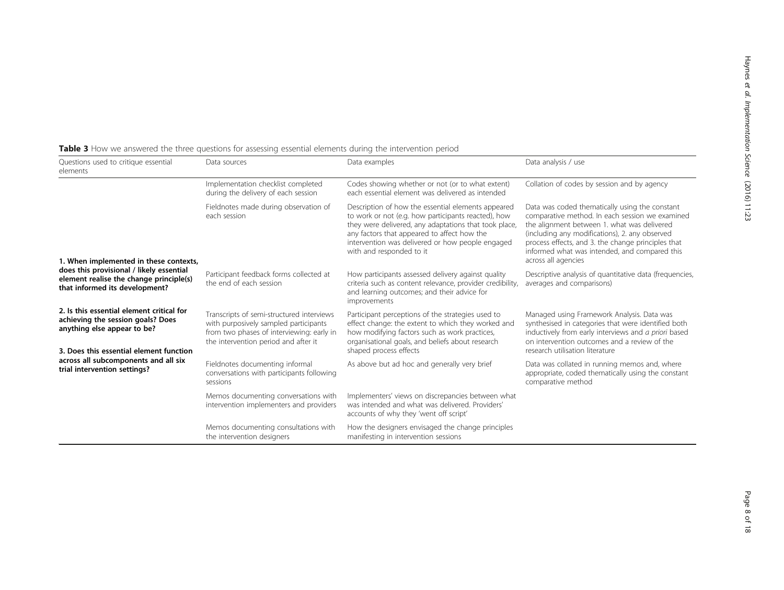| Questions used to critique essential<br>elements                                                                      | Data sources                                                                                                                                                            | Data examples                                                                                                                                                                                                                                                                                     | Data analysis / use                                                                                                                                                                                                                                                                                                              |
|-----------------------------------------------------------------------------------------------------------------------|-------------------------------------------------------------------------------------------------------------------------------------------------------------------------|---------------------------------------------------------------------------------------------------------------------------------------------------------------------------------------------------------------------------------------------------------------------------------------------------|----------------------------------------------------------------------------------------------------------------------------------------------------------------------------------------------------------------------------------------------------------------------------------------------------------------------------------|
|                                                                                                                       | Implementation checklist completed<br>during the delivery of each session                                                                                               | Codes showing whether or not (or to what extent)<br>each essential element was delivered as intended                                                                                                                                                                                              | Collation of codes by session and by agency                                                                                                                                                                                                                                                                                      |
| 1. When implemented in these contexts,                                                                                | Fieldnotes made during observation of<br>each session                                                                                                                   | Description of how the essential elements appeared<br>to work or not (e.g. how participants reacted), how<br>they were delivered, any adaptations that took place,<br>any factors that appeared to affect how the<br>intervention was delivered or how people engaged<br>with and responded to it | Data was coded thematically using the constant<br>comparative method. In each session we examined<br>the alignment between 1. what was delivered<br>(including any modifications), 2. any observed<br>process effects, and 3. the change principles that<br>informed what was intended, and compared this<br>across all agencies |
| does this provisional / likely essential<br>element realise the change principle(s)<br>that informed its development? | Participant feedback forms collected at<br>the end of each session                                                                                                      | How participants assessed delivery against quality<br>criteria such as content relevance, provider credibility,<br>and learning outcomes; and their advice for<br>improvements                                                                                                                    | Descriptive analysis of quantitative data (frequencies,<br>averages and comparisons)                                                                                                                                                                                                                                             |
| 2. Is this essential element critical for<br>achieving the session goals? Does<br>anything else appear to be?         | Transcripts of semi-structured interviews<br>with purposively sampled participants<br>from two phases of interviewing: early in<br>the intervention period and after it | Participant perceptions of the strategies used to<br>effect change: the extent to which they worked and<br>how modifying factors such as work practices,<br>organisational goals, and beliefs about research                                                                                      | Managed using Framework Analysis. Data was<br>synthesised in categories that were identified both<br>inductively from early interviews and a priori based<br>on intervention outcomes and a review of the                                                                                                                        |
| 3. Does this essential element function                                                                               |                                                                                                                                                                         | shaped process effects                                                                                                                                                                                                                                                                            | research utilisation literature                                                                                                                                                                                                                                                                                                  |
| across all subcomponents and all six<br>trial intervention settings?                                                  | Fieldnotes documenting informal<br>conversations with participants following<br>sessions                                                                                | As above but ad hoc and generally very brief                                                                                                                                                                                                                                                      | Data was collated in running memos and, where<br>appropriate, coded thematically using the constant<br>comparative method                                                                                                                                                                                                        |
|                                                                                                                       | Memos documenting conversations with<br>intervention implementers and providers                                                                                         | Implementers' views on discrepancies between what<br>was intended and what was delivered. Providers'<br>accounts of why they 'went off script'                                                                                                                                                    |                                                                                                                                                                                                                                                                                                                                  |
|                                                                                                                       | Memos documenting consultations with<br>the intervention designers                                                                                                      | How the designers envisaged the change principles<br>manifesting in intervention sessions                                                                                                                                                                                                         |                                                                                                                                                                                                                                                                                                                                  |

# <span id="page-10-0"></span>Table 3 How we answered the three questions for assessing essential elements during the intervention period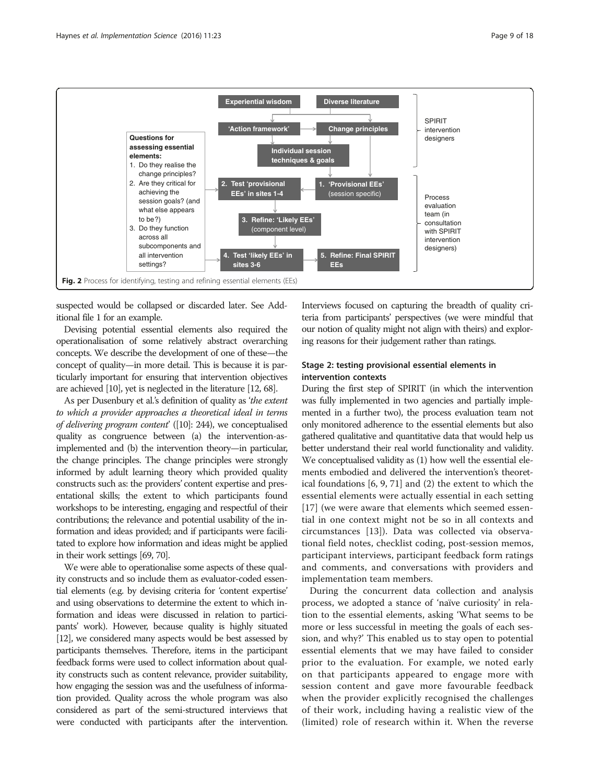<span id="page-11-0"></span>

suspected would be collapsed or discarded later. See Additional file [1](#page-18-0) for an example.

Devising potential essential elements also required the operationalisation of some relatively abstract overarching concepts. We describe the development of one of these—the concept of quality—in more detail. This is because it is particularly important for ensuring that intervention objectives are achieved [[10\]](#page-19-0), yet is neglected in the literature [[12,](#page-19-0) [68\]](#page-20-0).

As per Dusenbury et al.'s definition of quality as 'the extent to which a provider approaches a theoretical ideal in terms of delivering program content' ([[10\]](#page-19-0): 244), we conceptualised quality as congruence between (a) the intervention-asimplemented and (b) the intervention theory—in particular, the change principles. The change principles were strongly informed by adult learning theory which provided quality constructs such as: the providers' content expertise and presentational skills; the extent to which participants found workshops to be interesting, engaging and respectful of their contributions; the relevance and potential usability of the information and ideas provided; and if participants were facilitated to explore how information and ideas might be applied in their work settings [\[69](#page-20-0), [70\]](#page-20-0).

We were able to operationalise some aspects of these quality constructs and so include them as evaluator-coded essential elements (e.g. by devising criteria for 'content expertise' and using observations to determine the extent to which information and ideas were discussed in relation to participants' work). However, because quality is highly situated [[12\]](#page-19-0), we considered many aspects would be best assessed by participants themselves. Therefore, items in the participant feedback forms were used to collect information about quality constructs such as content relevance, provider suitability, how engaging the session was and the usefulness of information provided. Quality across the whole program was also considered as part of the semi-structured interviews that were conducted with participants after the intervention. Interviews focused on capturing the breadth of quality criteria from participants' perspectives (we were mindful that our notion of quality might not align with theirs) and exploring reasons for their judgement rather than ratings.

#### Stage 2: testing provisional essential elements in intervention contexts

During the first step of SPIRIT (in which the intervention was fully implemented in two agencies and partially implemented in a further two), the process evaluation team not only monitored adherence to the essential elements but also gathered qualitative and quantitative data that would help us better understand their real world functionality and validity. We conceptualised validity as (1) how well the essential elements embodied and delivered the intervention's theoretical foundations [\[6](#page-19-0), [9,](#page-19-0) [71](#page-20-0)] and (2) the extent to which the essential elements were actually essential in each setting [[17\]](#page-19-0) (we were aware that elements which seemed essential in one context might not be so in all contexts and circumstances [[13\]](#page-19-0)). Data was collected via observational field notes, checklist coding, post-session memos, participant interviews, participant feedback form ratings and comments, and conversations with providers and implementation team members.

During the concurrent data collection and analysis process, we adopted a stance of 'naïve curiosity' in relation to the essential elements, asking 'What seems to be more or less successful in meeting the goals of each session, and why?' This enabled us to stay open to potential essential elements that we may have failed to consider prior to the evaluation. For example, we noted early on that participants appeared to engage more with session content and gave more favourable feedback when the provider explicitly recognised the challenges of their work, including having a realistic view of the (limited) role of research within it. When the reverse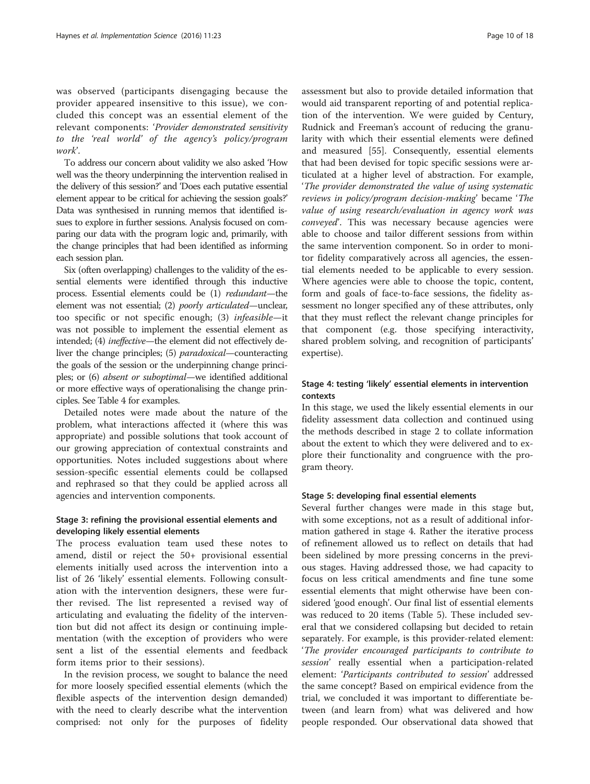was observed (participants disengaging because the provider appeared insensitive to this issue), we concluded this concept was an essential element of the relevant components: 'Provider demonstrated sensitivity to the 'real world' of the agency's policy/program work'.

To address our concern about validity we also asked 'How well was the theory underpinning the intervention realised in the delivery of this session?' and 'Does each putative essential element appear to be critical for achieving the session goals?' Data was synthesised in running memos that identified issues to explore in further sessions. Analysis focused on comparing our data with the program logic and, primarily, with the change principles that had been identified as informing each session plan.

Six (often overlapping) challenges to the validity of the essential elements were identified through this inductive process. Essential elements could be (1) redundant—the element was not essential; (2) poorly articulated—unclear, too specific or not specific enough; (3) infeasible—it was not possible to implement the essential element as intended; (4) ineffective—the element did not effectively deliver the change principles; (5) paradoxical—counteracting the goals of the session or the underpinning change principles; or (6) absent or suboptimal—we identified additional or more effective ways of operationalising the change principles. See Table [4](#page-13-0) for examples.

Detailed notes were made about the nature of the problem, what interactions affected it (where this was appropriate) and possible solutions that took account of our growing appreciation of contextual constraints and opportunities. Notes included suggestions about where session-specific essential elements could be collapsed and rephrased so that they could be applied across all agencies and intervention components.

#### Stage 3: refining the provisional essential elements and developing likely essential elements

The process evaluation team used these notes to amend, distil or reject the 50+ provisional essential elements initially used across the intervention into a list of 26 'likely' essential elements. Following consultation with the intervention designers, these were further revised. The list represented a revised way of articulating and evaluating the fidelity of the intervention but did not affect its design or continuing implementation (with the exception of providers who were sent a list of the essential elements and feedback form items prior to their sessions).

In the revision process, we sought to balance the need for more loosely specified essential elements (which the flexible aspects of the intervention design demanded) with the need to clearly describe what the intervention comprised: not only for the purposes of fidelity assessment but also to provide detailed information that would aid transparent reporting of and potential replication of the intervention. We were guided by Century, Rudnick and Freeman's account of reducing the granularity with which their essential elements were defined and measured [\[55](#page-20-0)]. Consequently, essential elements that had been devised for topic specific sessions were articulated at a higher level of abstraction. For example, 'The provider demonstrated the value of using systematic reviews in policy/program decision-making' became 'The value of using research/evaluation in agency work was conveyed'. This was necessary because agencies were able to choose and tailor different sessions from within the same intervention component. So in order to monitor fidelity comparatively across all agencies, the essential elements needed to be applicable to every session. Where agencies were able to choose the topic, content, form and goals of face-to-face sessions, the fidelity assessment no longer specified any of these attributes, only that they must reflect the relevant change principles for that component (e.g. those specifying interactivity, shared problem solving, and recognition of participants' expertise).

#### Stage 4: testing 'likely' essential elements in intervention contexts

In this stage, we used the likely essential elements in our fidelity assessment data collection and continued using the methods described in stage 2 to collate information about the extent to which they were delivered and to explore their functionality and congruence with the program theory.

#### Stage 5: developing final essential elements

Several further changes were made in this stage but, with some exceptions, not as a result of additional information gathered in stage 4. Rather the iterative process of refinement allowed us to reflect on details that had been sidelined by more pressing concerns in the previous stages. Having addressed those, we had capacity to focus on less critical amendments and fine tune some essential elements that might otherwise have been considered 'good enough'. Our final list of essential elements was reduced to 20 items (Table [5\)](#page-14-0). These included several that we considered collapsing but decided to retain separately. For example, is this provider-related element: 'The provider encouraged participants to contribute to session' really essential when a participation-related element: 'Participants contributed to session' addressed the same concept? Based on empirical evidence from the trial, we concluded it was important to differentiate between (and learn from) what was delivered and how people responded. Our observational data showed that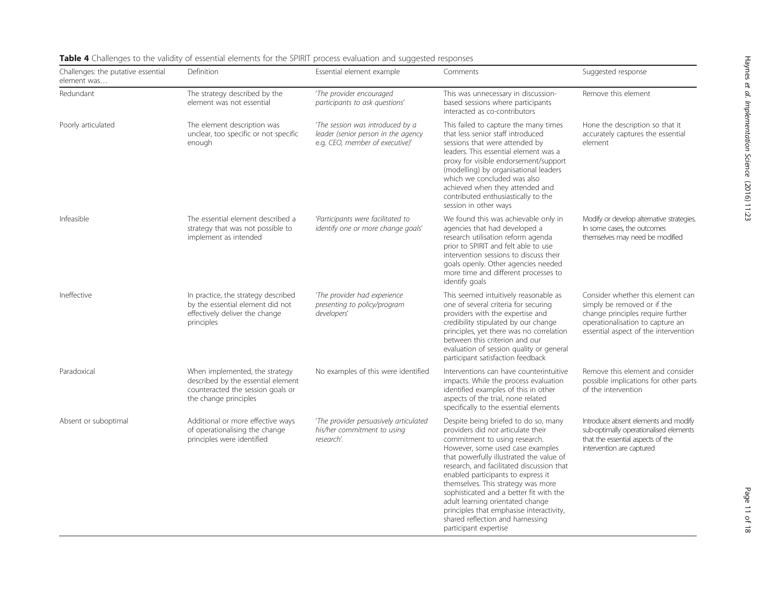| Challenges: the putative essential<br>element was | Definition                                                                                                                         | Essential element example                                                                                  | Comments                                                                                                                                                                                                                                                                                                                                                                                                                                                                                                     | Suggested response                                                                                                                                                                |
|---------------------------------------------------|------------------------------------------------------------------------------------------------------------------------------------|------------------------------------------------------------------------------------------------------------|--------------------------------------------------------------------------------------------------------------------------------------------------------------------------------------------------------------------------------------------------------------------------------------------------------------------------------------------------------------------------------------------------------------------------------------------------------------------------------------------------------------|-----------------------------------------------------------------------------------------------------------------------------------------------------------------------------------|
| Redundant                                         | The strategy described by the<br>element was not essential                                                                         | 'The provider encouraged<br>participants to ask questions'                                                 | This was unnecessary in discussion-<br>based sessions where participants<br>interacted as co-contributors                                                                                                                                                                                                                                                                                                                                                                                                    | Remove this element                                                                                                                                                               |
| Poorly articulated                                | The element description was<br>unclear, too specific or not specific<br>enough                                                     | 'The session was introduced by a<br>leader (senior person in the agency<br>e.g. CEO, member of executive)' | This failed to capture the many times<br>that less senior staff introduced<br>sessions that were attended by<br>leaders. This essential element was a<br>proxy for visible endorsement/support<br>(modelling) by organisational leaders<br>which we concluded was also<br>achieved when they attended and<br>contributed enthusiastically to the<br>session in other ways                                                                                                                                    | Hone the description so that it<br>accurately captures the essential<br>element                                                                                                   |
| Infeasible                                        | The essential element described a<br>strategy that was not possible to<br>implement as intended                                    | 'Participants were facilitated to<br>identify one or more change goals'                                    | We found this was achievable only in<br>agencies that had developed a<br>research utilisation reform agenda<br>prior to SPIRIT and felt able to use<br>intervention sessions to discuss their<br>goals openly. Other agencies needed<br>more time and different processes to<br>identify goals                                                                                                                                                                                                               | Modify or develop alternative strategies.<br>In some cases, the outcomes<br>themselves may need be modified                                                                       |
| Ineffective                                       | In practice, the strategy described<br>by the essential element did not<br>effectively deliver the change<br>principles            | 'The provider had experience<br>presenting to policy/program<br>developers'                                | This seemed intuitively reasonable as<br>one of several criteria for securing<br>providers with the expertise and<br>credibility stipulated by our change<br>principles, yet there was no correlation<br>between this criterion and our<br>evaluation of session quality or general<br>participant satisfaction feedback                                                                                                                                                                                     | Consider whether this element can<br>simply be removed or if the<br>change principles require further<br>operationalisation to capture an<br>essential aspect of the intervention |
| Paradoxical                                       | When implemented, the strategy<br>described by the essential element<br>counteracted the session goals or<br>the change principles | No examples of this were identified                                                                        | Interventions can have counterintuitive<br>impacts. While the process evaluation<br>identified examples of this in other<br>aspects of the trial, none related<br>specifically to the essential elements                                                                                                                                                                                                                                                                                                     | Remove this element and consider<br>possible implications for other parts<br>of the intervention                                                                                  |
| Absent or suboptimal                              | Additional or more effective ways<br>of operationalising the change<br>principles were identified                                  | 'The provider persuasively articulated<br>his/her commitment to using<br>research'.                        | Despite being briefed to do so, many<br>providers did not articulate their<br>commitment to using research.<br>However, some used case examples<br>that powerfully illustrated the value of<br>research, and facilitated discussion that<br>enabled participants to express it<br>themselves. This strategy was more<br>sophisticated and a better fit with the<br>adult learning orientated change<br>principles that emphasise interactivity,<br>shared reflection and harnessing<br>participant expertise | Introduce absent elements and modify<br>sub-optimally operationalised elements<br>that the essential aspects of the<br>intervention are captured                                  |

## <span id="page-13-0"></span>Table 4 Challenges to the validity of essential elements for the SPIRIT process evaluation and suggested responses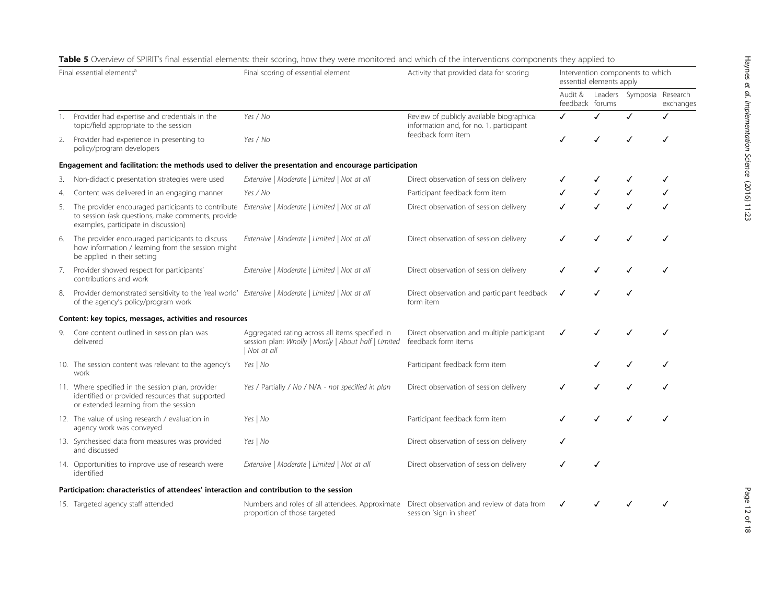| Final essential elements <sup>a</sup> |                                                                                                                                                                                             | Final scoring of essential element                                                                                         | Activity that provided data for scoring                                              | Intervention components to which<br>essential elements apply |   |                           |           |
|---------------------------------------|---------------------------------------------------------------------------------------------------------------------------------------------------------------------------------------------|----------------------------------------------------------------------------------------------------------------------------|--------------------------------------------------------------------------------------|--------------------------------------------------------------|---|---------------------------|-----------|
|                                       |                                                                                                                                                                                             |                                                                                                                            |                                                                                      | Audit &<br>feedback forums                                   |   | Leaders Symposia Research | exchanges |
| 1.                                    | Provider had expertise and credentials in the<br>topic/field appropriate to the session                                                                                                     | Yes / No                                                                                                                   | Review of publicly available biographical<br>information and, for no. 1, participant | ✓                                                            | ℐ | ✓                         | ✓         |
|                                       | 2. Provider had experience in presenting to<br>policy/program developers                                                                                                                    | Yes / No                                                                                                                   | feedback form item                                                                   |                                                              |   | √                         |           |
|                                       | Engagement and facilitation: the methods used to deliver the presentation and encourage participation                                                                                       |                                                                                                                            |                                                                                      |                                                              |   |                           |           |
|                                       | 3. Non-didactic presentation strategies were used                                                                                                                                           | Extensive   Moderate   Limited   Not at all                                                                                | Direct observation of session delivery                                               |                                                              |   | ✓                         |           |
| 4.                                    | Content was delivered in an engaging manner                                                                                                                                                 | Yes / No                                                                                                                   | Participant feedback form item                                                       |                                                              | ✓ | ✓                         |           |
| 5.                                    | The provider encouraged participants to contribute Extensive   Moderate   Limited   Not at all<br>to session (ask questions, make comments, provide<br>examples, participate in discussion) |                                                                                                                            | Direct observation of session delivery                                               |                                                              |   | ✓                         |           |
| 6.                                    | The provider encouraged participants to discuss<br>how information / learning from the session might<br>be applied in their setting                                                         | Extensive   Moderate   Limited   Not at all                                                                                | Direct observation of session delivery                                               |                                                              |   | ✓                         | ℐ         |
| 7.                                    | Provider showed respect for participants'<br>contributions and work                                                                                                                         | Extensive   Moderate   Limited   Not at all                                                                                | Direct observation of session delivery                                               |                                                              |   | ✓                         |           |
| 8.                                    | Provider demonstrated sensitivity to the 'real world' Extensive   Moderate   Limited   Not at all<br>of the agency's policy/program work                                                    |                                                                                                                            | Direct observation and participant feedback<br>form item                             |                                                              |   |                           |           |
|                                       | Content: key topics, messages, activities and resources                                                                                                                                     |                                                                                                                            |                                                                                      |                                                              |   |                           |           |
|                                       | 9. Core content outlined in session plan was<br>delivered                                                                                                                                   | Aggregated rating across all items specified in<br>session plan: Wholly   Mostly   About half   Limited<br>  Not at all    | Direct observation and multiple participant<br>feedback form items                   |                                                              |   | ✓                         |           |
|                                       | 10. The session content was relevant to the agency's<br>work                                                                                                                                | Yes   No                                                                                                                   | Participant feedback form item                                                       |                                                              |   | ✓                         |           |
|                                       | 11. Where specified in the session plan, provider<br>identified or provided resources that supported<br>or extended learning from the session                                               | Yes / Partially / No / N/A - not specified in plan                                                                         | Direct observation of session delivery                                               |                                                              |   | ✓                         |           |
|                                       | 12. The value of using research / evaluation in<br>agency work was conveyed                                                                                                                 | Yes   No                                                                                                                   | Participant feedback form item                                                       |                                                              |   |                           |           |
|                                       | 13. Synthesised data from measures was provided<br>and discussed                                                                                                                            | Yes   No                                                                                                                   | Direct observation of session delivery                                               |                                                              |   |                           |           |
|                                       | 14. Opportunities to improve use of research were<br>identified                                                                                                                             | Extensive   Moderate   Limited   Not at all                                                                                | Direct observation of session delivery                                               |                                                              |   |                           |           |
|                                       | Participation: characteristics of attendees' interaction and contribution to the session                                                                                                    |                                                                                                                            |                                                                                      |                                                              |   |                           |           |
|                                       | 15. Targeted agency staff attended                                                                                                                                                          | Numbers and roles of all attendees. Approximate Direct observation and review of data from<br>proportion of those targeted | session 'sign in sheet'                                                              |                                                              |   |                           |           |

## <span id="page-14-0"></span>Table 5 Overview of SPIRIT's final essential elements: their scoring, how they were monitored and which of the interventions components they applied to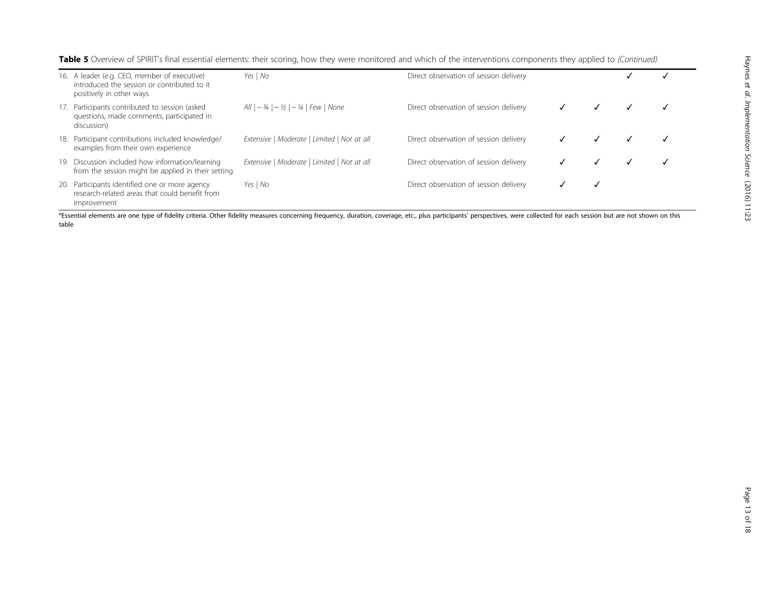| Table 5 Overview of SPIRIT's final essential elements: their scoring, how they were monitored and which of the interventions components they applied to (Continued) |  |
|---------------------------------------------------------------------------------------------------------------------------------------------------------------------|--|
|---------------------------------------------------------------------------------------------------------------------------------------------------------------------|--|

| 16. A leader (e.g. CEO, member of executive)<br>introduced the session or contributed to it<br>positively in other ways | Yes   No                                         | Direct observation of session delivery |  |  |
|-------------------------------------------------------------------------------------------------------------------------|--------------------------------------------------|----------------------------------------|--|--|
| 17. Participants contributed to session (asked<br>questions, made comments, participated in<br>discussion)              | All $  \sim 34   \sim 1/2   \sim 1/4$ Few   None | Direct observation of session delivery |  |  |
| 18. Participant contributions included knowledge/<br>examples from their own experience                                 | Extensive   Moderate   Limited   Not at all      | Direct observation of session delivery |  |  |
| 19. Discussion included how information/learning<br>from the session might be applied in their setting                  | Extensive   Moderate   Limited   Not at all      | Direct observation of session delivery |  |  |
| 20. Participants identified one or more agency<br>research-related areas that could benefit from<br>improvement         | Yes   No                                         | Direct observation of session delivery |  |  |

<sup>a</sup>Essential elements are one type of fidelity criteria. Other fidelity measures concerning frequency, duration, coverage, etc., plus participants' perspectives, were collected for each session but are not shown on this table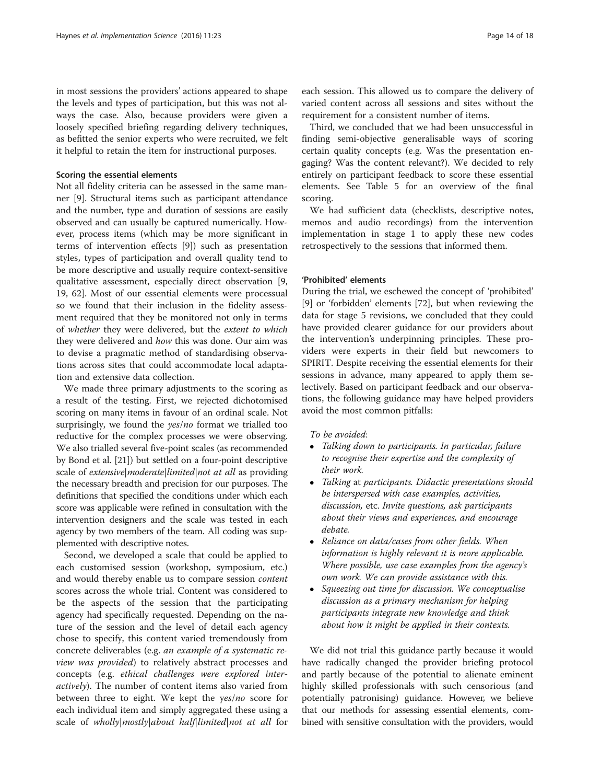in most sessions the providers' actions appeared to shape the levels and types of participation, but this was not always the case. Also, because providers were given a loosely specified briefing regarding delivery techniques, as befitted the senior experts who were recruited, we felt it helpful to retain the item for instructional purposes.

#### Scoring the essential elements

Not all fidelity criteria can be assessed in the same manner [\[9](#page-19-0)]. Structural items such as participant attendance and the number, type and duration of sessions are easily observed and can usually be captured numerically. However, process items (which may be more significant in terms of intervention effects [[9\]](#page-19-0)) such as presentation styles, types of participation and overall quality tend to be more descriptive and usually require context-sensitive qualitative assessment, especially direct observation [\[9](#page-19-0), [19,](#page-19-0) [62](#page-20-0)]. Most of our essential elements were processual so we found that their inclusion in the fidelity assessment required that they be monitored not only in terms of whether they were delivered, but the extent to which they were delivered and how this was done. Our aim was to devise a pragmatic method of standardising observations across sites that could accommodate local adaptation and extensive data collection.

We made three primary adjustments to the scoring as a result of the testing. First, we rejected dichotomised scoring on many items in favour of an ordinal scale. Not surprisingly, we found the *yes/no* format we trialled too reductive for the complex processes we were observing. We also trialled several five-point scales (as recommended by Bond et al. [[21](#page-19-0)]) but settled on a four-point descriptive scale of extensive|moderate|limited|not at all as providing the necessary breadth and precision for our purposes. The definitions that specified the conditions under which each score was applicable were refined in consultation with the intervention designers and the scale was tested in each agency by two members of the team. All coding was supplemented with descriptive notes.

Second, we developed a scale that could be applied to each customised session (workshop, symposium, etc.) and would thereby enable us to compare session content scores across the whole trial. Content was considered to be the aspects of the session that the participating agency had specifically requested. Depending on the nature of the session and the level of detail each agency chose to specify, this content varied tremendously from concrete deliverables (e.g. an example of a systematic review was provided) to relatively abstract processes and concepts (e.g. ethical challenges were explored interactively). The number of content items also varied from between three to eight. We kept the yes/no score for each individual item and simply aggregated these using a scale of wholly mostly about half limited not at all for

each session. This allowed us to compare the delivery of varied content across all sessions and sites without the requirement for a consistent number of items.

Third, we concluded that we had been unsuccessful in finding semi-objective generalisable ways of scoring certain quality concepts (e.g. Was the presentation engaging? Was the content relevant?). We decided to rely entirely on participant feedback to score these essential elements. See Table [5](#page-14-0) for an overview of the final scoring.

We had sufficient data (checklists, descriptive notes, memos and audio recordings) from the intervention implementation in stage 1 to apply these new codes retrospectively to the sessions that informed them.

#### 'Prohibited' elements

During the trial, we eschewed the concept of 'prohibited' [[9\]](#page-19-0) or 'forbidden' elements [[72\]](#page-20-0), but when reviewing the data for stage 5 revisions, we concluded that they could have provided clearer guidance for our providers about the intervention's underpinning principles. These providers were experts in their field but newcomers to SPIRIT. Despite receiving the essential elements for their sessions in advance, many appeared to apply them selectively. Based on participant feedback and our observations, the following guidance may have helped providers avoid the most common pitfalls:

- To be avoided:
- Talking down to participants. In particular, failure to recognise their expertise and the complexity of their work.
- Talking at participants. Didactic presentations should be interspersed with case examples, activities, discussion, etc. Invite questions, ask participants about their views and experiences, and encourage debate.
- Reliance on data/cases from other fields. When information is highly relevant it is more applicable. Where possible, use case examples from the agency's own work. We can provide assistance with this.
- Squeezing out time for discussion. We conceptualise discussion as a primary mechanism for helping participants integrate new knowledge and think about how it might be applied in their contexts.

We did not trial this guidance partly because it would have radically changed the provider briefing protocol and partly because of the potential to alienate eminent highly skilled professionals with such censorious (and potentially patronising) guidance. However, we believe that our methods for assessing essential elements, combined with sensitive consultation with the providers, would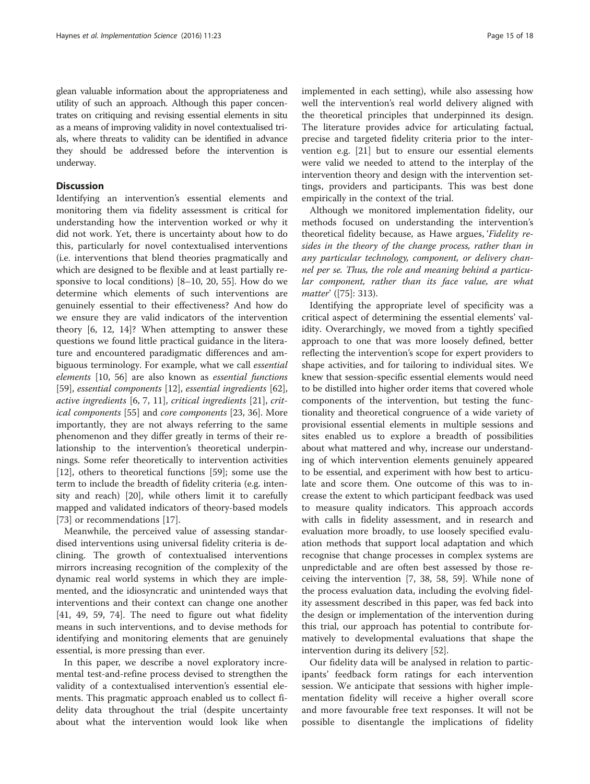glean valuable information about the appropriateness and utility of such an approach. Although this paper concentrates on critiquing and revising essential elements in situ as a means of improving validity in novel contextualised trials, where threats to validity can be identified in advance they should be addressed before the intervention is underway.

#### **Discussion**

Identifying an intervention's essential elements and monitoring them via fidelity assessment is critical for understanding how the intervention worked or why it did not work. Yet, there is uncertainty about how to do this, particularly for novel contextualised interventions (i.e. interventions that blend theories pragmatically and which are designed to be flexible and at least partially responsive to local conditions) [[8](#page-19-0)–[10, 20](#page-19-0), [55\]](#page-20-0). How do we determine which elements of such interventions are genuinely essential to their effectiveness? And how do we ensure they are valid indicators of the intervention theory [\[6, 12](#page-19-0), [14](#page-19-0)]? When attempting to answer these questions we found little practical guidance in the literature and encountered paradigmatic differences and ambiguous terminology. For example, what we call essential elements [\[10](#page-19-0), [56\]](#page-20-0) are also known as essential functions [[59\]](#page-20-0), essential components [\[12](#page-19-0)], essential ingredients [\[62](#page-20-0)], active ingredients [\[6, 7](#page-19-0), [11](#page-19-0)], critical ingredients [[21\]](#page-19-0), critical components [\[55](#page-20-0)] and core components [\[23](#page-19-0), [36\]](#page-19-0). More importantly, they are not always referring to the same phenomenon and they differ greatly in terms of their relationship to the intervention's theoretical underpinnings. Some refer theoretically to intervention activities [[12\]](#page-19-0), others to theoretical functions [[59](#page-20-0)]; some use the term to include the breadth of fidelity criteria (e.g. intensity and reach) [[20](#page-19-0)], while others limit it to carefully mapped and validated indicators of theory-based models [[73\]](#page-20-0) or recommendations [\[17\]](#page-19-0).

Meanwhile, the perceived value of assessing standardised interventions using universal fidelity criteria is declining. The growth of contextualised interventions mirrors increasing recognition of the complexity of the dynamic real world systems in which they are implemented, and the idiosyncratic and unintended ways that interventions and their context can change one another [[41,](#page-19-0) [49, 59, 74\]](#page-20-0). The need to figure out what fidelity means in such interventions, and to devise methods for identifying and monitoring elements that are genuinely essential, is more pressing than ever.

In this paper, we describe a novel exploratory incremental test-and-refine process devised to strengthen the validity of a contextualised intervention's essential elements. This pragmatic approach enabled us to collect fidelity data throughout the trial (despite uncertainty about what the intervention would look like when

implemented in each setting), while also assessing how well the intervention's real world delivery aligned with the theoretical principles that underpinned its design. The literature provides advice for articulating factual, precise and targeted fidelity criteria prior to the intervention e.g. [[21\]](#page-19-0) but to ensure our essential elements were valid we needed to attend to the interplay of the intervention theory and design with the intervention settings, providers and participants. This was best done empirically in the context of the trial.

Although we monitored implementation fidelity, our methods focused on understanding the intervention's theoretical fidelity because, as Hawe argues, 'Fidelity resides in the theory of the change process, rather than in any particular technology, component, or delivery channel per se. Thus, the role and meaning behind a particular component, rather than its face value, are what matter' ([\[75](#page-20-0)]: 313).

Identifying the appropriate level of specificity was a critical aspect of determining the essential elements' validity. Overarchingly, we moved from a tightly specified approach to one that was more loosely defined, better reflecting the intervention's scope for expert providers to shape activities, and for tailoring to individual sites. We knew that session-specific essential elements would need to be distilled into higher order items that covered whole components of the intervention, but testing the functionality and theoretical congruence of a wide variety of provisional essential elements in multiple sessions and sites enabled us to explore a breadth of possibilities about what mattered and why, increase our understanding of which intervention elements genuinely appeared to be essential, and experiment with how best to articulate and score them. One outcome of this was to increase the extent to which participant feedback was used to measure quality indicators. This approach accords with calls in fidelity assessment, and in research and evaluation more broadly, to use loosely specified evaluation methods that support local adaptation and which recognise that change processes in complex systems are unpredictable and are often best assessed by those receiving the intervention [[7, 38](#page-19-0), [58](#page-20-0), [59\]](#page-20-0). While none of the process evaluation data, including the evolving fidelity assessment described in this paper, was fed back into the design or implementation of the intervention during this trial, our approach has potential to contribute formatively to developmental evaluations that shape the intervention during its delivery [[52\]](#page-20-0).

Our fidelity data will be analysed in relation to participants' feedback form ratings for each intervention session. We anticipate that sessions with higher implementation fidelity will receive a higher overall score and more favourable free text responses. It will not be possible to disentangle the implications of fidelity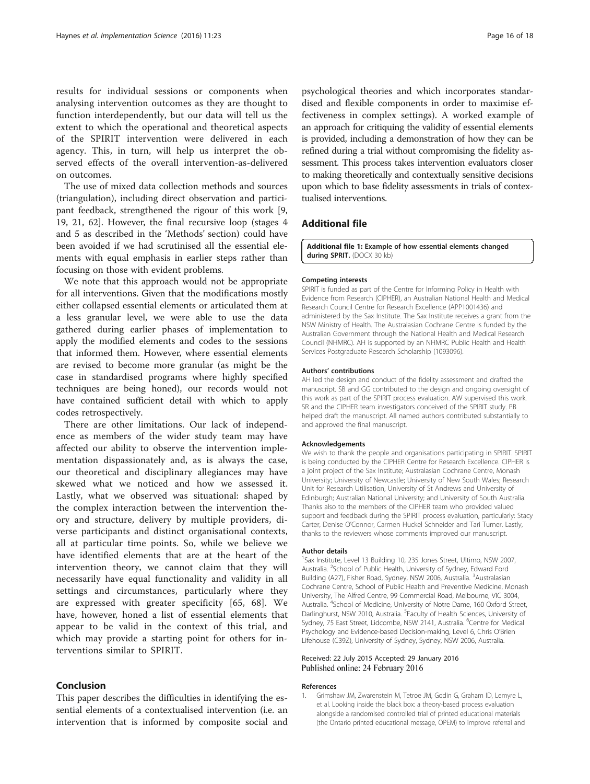<span id="page-18-0"></span>results for individual sessions or components when analysing intervention outcomes as they are thought to function interdependently, but our data will tell us the extent to which the operational and theoretical aspects of the SPIRIT intervention were delivered in each agency. This, in turn, will help us interpret the observed effects of the overall intervention-as-delivered on outcomes.

The use of mixed data collection methods and sources (triangulation), including direct observation and participant feedback, strengthened the rigour of this work [[9](#page-19-0), [19, 21,](#page-19-0) [62](#page-20-0)]. However, the final recursive loop (stages 4 and 5 as described in the '[Methods](#page-8-0)' section) could have been avoided if we had scrutinised all the essential elements with equal emphasis in earlier steps rather than focusing on those with evident problems.

We note that this approach would not be appropriate for all interventions. Given that the modifications mostly either collapsed essential elements or articulated them at a less granular level, we were able to use the data gathered during earlier phases of implementation to apply the modified elements and codes to the sessions that informed them. However, where essential elements are revised to become more granular (as might be the case in standardised programs where highly specified techniques are being honed), our records would not have contained sufficient detail with which to apply codes retrospectively.

There are other limitations. Our lack of independence as members of the wider study team may have affected our ability to observe the intervention implementation dispassionately and, as is always the case, our theoretical and disciplinary allegiances may have skewed what we noticed and how we assessed it. Lastly, what we observed was situational: shaped by the complex interaction between the intervention theory and structure, delivery by multiple providers, diverse participants and distinct organisational contexts, all at particular time points. So, while we believe we have identified elements that are at the heart of the intervention theory, we cannot claim that they will necessarily have equal functionality and validity in all settings and circumstances, particularly where they are expressed with greater specificity [[65](#page-20-0), [68\]](#page-20-0). We have, however, honed a list of essential elements that appear to be valid in the context of this trial, and which may provide a starting point for others for interventions similar to SPIRIT.

#### Conclusion

This paper describes the difficulties in identifying the essential elements of a contextualised intervention (i.e. an intervention that is informed by composite social and psychological theories and which incorporates standardised and flexible components in order to maximise effectiveness in complex settings). A worked example of an approach for critiquing the validity of essential elements is provided, including a demonstration of how they can be refined during a trial without compromising the fidelity assessment. This process takes intervention evaluators closer to making theoretically and contextually sensitive decisions upon which to base fidelity assessments in trials of contextualised interventions.

#### Additional file

[Additional file 1:](dx.doi.org/10.1186/s13012-016-0378-6) Example of how essential elements changed during SPRIT. (DOCX 30 kb)

#### Competing interests

SPIRIT is funded as part of the Centre for Informing Policy in Health with Evidence from Research (CIPHER), an Australian National Health and Medical Research Council Centre for Research Excellence (APP1001436) and administered by the Sax Institute. The Sax Institute receives a grant from the NSW Ministry of Health. The Australasian Cochrane Centre is funded by the Australian Government through the National Health and Medical Research Council (NHMRC). AH is supported by an NHMRC Public Health and Health Services Postgraduate Research Scholarship (1093096).

#### Authors' contributions

AH led the design and conduct of the fidelity assessment and drafted the manuscript. SB and GG contributed to the design and ongoing oversight of this work as part of the SPIRIT process evaluation. AW supervised this work. SR and the CIPHER team investigators conceived of the SPIRIT study. PB helped draft the manuscript. All named authors contributed substantially to and approved the final manuscript.

#### Acknowledgements

We wish to thank the people and organisations participating in SPIRIT. SPIRIT is being conducted by the CIPHER Centre for Research Excellence. CIPHER is a joint project of the Sax Institute; Australasian Cochrane Centre, Monash University; University of Newcastle; University of New South Wales; Research Unit for Research Utilisation, University of St Andrews and University of Edinburgh; Australian National University; and University of South Australia. Thanks also to the members of the CIPHER team who provided valued support and feedback during the SPIRIT process evaluation, particularly: Stacy Carter, Denise O'Connor, Carmen Huckel Schneider and Tari Turner. Lastly, thanks to the reviewers whose comments improved our manuscript.

#### Author details

<sup>1</sup>Sax Institute, Level 13 Building 10, 235 Jones Street, Ultimo, NSW 2007 Australia. <sup>2</sup>School of Public Health, University of Sydney, Edward Ford Building (A27), Fisher Road, Sydney, NSW 2006, Australia. <sup>3</sup>Australasian Cochrane Centre, School of Public Health and Preventive Medicine, Monash University, The Alfred Centre, 99 Commercial Road, Melbourne, VIC 3004, Australia. <sup>4</sup>School of Medicine, University of Notre Dame, 160 Oxford Street, Darlinghurst, NSW 2010, Australia. <sup>5</sup> Faculty of Health Sciences, University of Sydney, 75 East Street, Lidcombe, NSW 2141, Australia. <sup>6</sup>Centre for Medical Psychology and Evidence-based Decision-making, Level 6, Chris O'Brien Lifehouse (C39Z), University of Sydney, Sydney, NSW 2006, Australia.

#### Received: 22 July 2015 Accepted: 29 January 2016 Published online: 24 February 2016

#### References

1. Grimshaw JM, Zwarenstein M, Tetroe JM, Godin G, Graham ID, Lemyre L, et al. Looking inside the black box: a theory-based process evaluation alongside a randomised controlled trial of printed educational materials (the Ontario printed educational message, OPEM) to improve referral and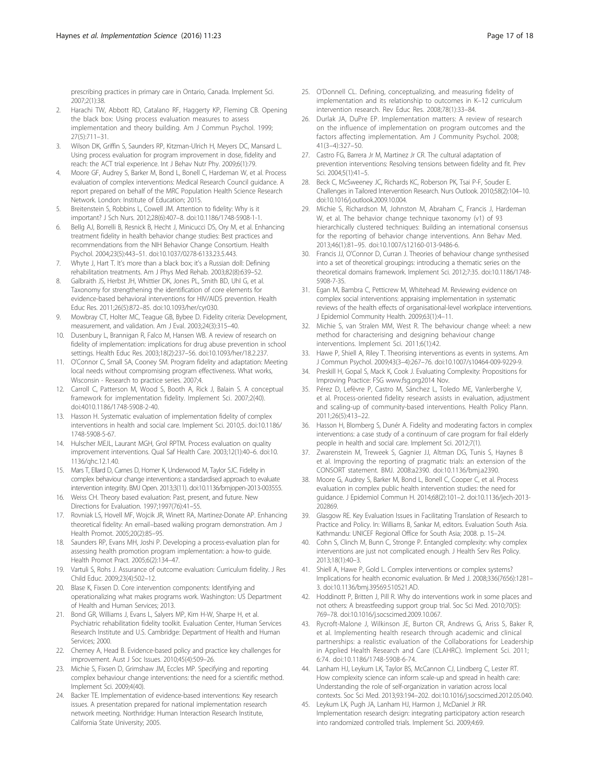<span id="page-19-0"></span>prescribing practices in primary care in Ontario, Canada. Implement Sci. 2007;2(1):38.

- 2. Harachi TW, Abbott RD, Catalano RF, Haggerty KP, Fleming CB. Opening the black box: Using process evaluation measures to assess implementation and theory building. Am J Commun Psychol. 1999; 27(5):711–31.
- 3. Wilson DK, Griffin S, Saunders RP, Kitzman-Ulrich H, Meyers DC, Mansard L. Using process evaluation for program improvement in dose, fidelity and reach: the ACT trial experience. Int J Behav Nutr Phy. 2009;6(1):79.
- 4. Moore GF, Audrey S, Barker M, Bond L, Bonell C, Hardeman W, et al. Process evaluation of complex interventions: Medical Research Council guidance. A report prepared on behalf of the MRC Population Health Science Research Network. London: Institute of Education; 2015.
- 5. Breitenstein S, Robbins L, Cowell JM. Attention to fidelity: Why is it important? J Sch Nurs. 2012;28(6):407–8. doi:10.1186/1748-5908-1-1.
- Bellg AJ, Borrelli B, Resnick B, Hecht J, Minicucci DS, Ory M, et al. Enhancing treatment fidelity in health behavior change studies: Best practices and recommendations from the NIH Behavior Change Consortium. Health Psychol. 2004;23(5):443–51. doi:10.1037/0278-6133.23.5.443.
- 7. Whyte J, Hart T. It's more than a black box; it's a Russian doll: Defining rehabilitation treatments. Am J Phys Med Rehab. 2003;82(8):639–52.
- 8. Galbraith JS, Herbst JH, Whittier DK, Jones PL, Smith BD, Uhl G, et al. Taxonomy for strengthening the identification of core elements for evidence-based behavioral interventions for HIV/AIDS prevention. Health Educ Res. 2011;26(5):872–85. doi:10.1093/her/cyr030.
- 9. Mowbray CT, Holter MC, Teague GB, Bybee D. Fidelity criteria: Development, measurement, and validation. Am J Eval. 2003;24(3):315–40.
- 10. Dusenbury L, Brannigan R, Falco M, Hansen WB. A review of research on fidelity of implementation: implications for drug abuse prevention in school settings. Health Educ Res. 2003;18(2):237–56. doi:10.1093/her/18.2.237.
- 11. O'Connor C, Small SA, Cooney SM. Program fidelity and adaptation: Meeting local needs without compromising program effectiveness. What works, Wisconsin - Research to practice series. 2007;4.
- 12. Carroll C, Patterson M, Wood S, Booth A, Rick J, Balain S. A conceptual framework for implementation fidelity. Implement Sci. 2007;2(40). doi:4010.1186/1748-5908-2-40.
- 13. Hasson H. Systematic evaluation of implementation fidelity of complex interventions in health and social care. Implement Sci. 2010;5. doi:10.1186/ 1748-5908-5-67.
- 14. Hulscher MEJL, Laurant MGH, Grol RPTM. Process evaluation on quality improvement interventions. Qual Saf Health Care. 2003;12(1):40–6. doi:10. 1136/qhc.12.1.40.
- 15. Mars T, Ellard D, Carnes D, Homer K, Underwood M, Taylor SJC. Fidelity in complex behaviour change interventions: a standardised approach to evaluate intervention integrity. BMJ Open. 2013;3(11). doi:10.1136/bmjopen-2013-003555.
- 16. Weiss CH. Theory based evaluation: Past, present, and future. New Directions for Evaluation. 1997;1997(76):41–55.
- 17. Rovniak LS, Hovell MF, Wojcik JR, Winett RA, Martinez-Donate AP. Enhancing theoretical fidelity: An email–based walking program demonstration. Am J Health Promot. 2005;20(2):85–95.
- 18. Saunders RP, Evans MH, Joshi P. Developing a process-evaluation plan for assessing health promotion program implementation: a how-to guide. Health Promot Pract. 2005;6(2):134–47.
- 19. Vartuli S, Rohs J. Assurance of outcome evaluation: Curriculum fidelity. J Res Child Educ. 2009;23(4):502–12.
- 20. Blase K, Fixsen D. Core intervention components: Identifying and operationalizing what makes programs work. Washington: US Department of Health and Human Services; 2013.
- 21. Bond GR, Williams J, Evans L, Salyers MP, Kim H-W, Sharpe H, et al. Psychiatric rehabilitation fidelity toolkit. Evaluation Center, Human Services Research Institute and U.S. Cambridge: Department of Health and Human Services; 2000.
- 22. Cherney A, Head B. Evidence-based policy and practice key challenges for improvement. Aust J Soc Issues. 2010;45(4):509–26.
- 23. Michie S, Fixsen D, Grimshaw JM, Eccles MP. Specifying and reporting complex behaviour change interventions: the need for a scientific method. Implement Sci. 2009;4(40).
- 24. Backer TE. Implementation of evidence-based interventions: Key research issues. A presentation prepared for national implementation research network meeting. Northridge: Human Interaction Research Institute, California State University; 2005.
- 25. O'Donnell CL. Defining, conceptualizing, and measuring fidelity of implementation and its relationship to outcomes in K–12 curriculum intervention research. Rev Educ Res. 2008;78(1):33–84.
- 26. Durlak JA, DuPre EP. Implementation matters: A review of research on the influence of implementation on program outcomes and the factors affecting implementation. Am J Community Psychol. 2008; 41(3–4):327–50.
- 27. Castro FG, Barrera Jr M, Martinez Jr CR. The cultural adaptation of prevention interventions: Resolving tensions between fidelity and fit. Prev Sci. 2004;5(1):41–5.
- 28. Beck C, McSweeney JC, Richards KC, Roberson PK, Tsai P-F, Souder E. Challenges in Tailored Intervention Research. Nurs Outlook. 2010;58(2):104–10. doi:10.1016/j.outlook.2009.10.004.
- 29. Michie S, Richardson M, Johnston M, Abraham C, Francis J, Hardeman W, et al. The behavior change technique taxonomy (v1) of 93 hierarchically clustered techniques: Building an international consensus for the reporting of behavior change interventions. Ann Behav Med. 2013;46(1):81–95. doi:10.1007/s12160-013-9486-6.
- 30. Francis JJ, O'Connor D, Curran J. Theories of behaviour change synthesised into a set of theoretical groupings: introducing a thematic series on the theoretical domains framework. Implement Sci. 2012;7:35. doi:10.1186/1748- 5908-7-35.
- 31. Egan M, Bambra C, Petticrew M, Whitehead M. Reviewing evidence on complex social interventions: appraising implementation in systematic reviews of the health effects of organisational-level workplace interventions. J Epidemiol Community Health. 2009;63(1):4–11.
- 32. Michie S, van Stralen MM, West R. The behaviour change wheel: a new method for characterising and designing behaviour change interventions. Implement Sci. 2011;6(1):42.
- 33. Hawe P, Shiell A, Riley T. Theorising interventions as events in systems. Am J Commun Psychol. 2009;43(3–4):267–76. doi:10.1007/s10464-009-9229-9.
- 34. Preskill H, Gopal S, Mack K, Cook J. Evaluating Complexity: Propositions for Improving Practice: FSG www.fsg.org2014 Nov.
- 35. Pérez D, Lefèvre P, Castro M, Sánchez L, Toledo ME, Vanlerberghe V, et al. Process-oriented fidelity research assists in evaluation, adjustment and scaling-up of community-based interventions. Health Policy Plann. 2011;26(5):413–22.
- 36. Hasson H, Blomberg S, Dunér A. Fidelity and moderating factors in complex interventions: a case study of a continuum of care program for frail elderly people in health and social care. Implement Sci. 2012;7(1).
- 37. Zwarenstein M, Treweek S, Gagnier JJ, Altman DG, Tunis S, Haynes B et al. Improving the reporting of pragmatic trials: an extension of the CONSORT statement. BMJ. 2008:a2390. doi:10.1136/bmj.a2390.
- 38. Moore G, Audrey S, Barker M, Bond L, Bonell C, Cooper C, et al. Process evaluation in complex public health intervention studies: the need for guidance. J Epidemiol Commun H. 2014;68(2):101–2. doi:10.1136/jech-2013- 202869.
- 39. Glasgow RE. Key Evaluation Issues in Facilitating Translation of Research to Practice and Policy. In: Williams B, Sankar M, editors. Evaluation South Asia. Kathmandu: UNICEF Regional Office for South Asia; 2008. p. 15–24.
- 40. Cohn S, Clinch M, Bunn C, Stronge P. Entangled complexity: why complex interventions are just not complicated enough. J Health Serv Res Policy. 2013;18(1):40–3.
- 41. Shiell A, Hawe P, Gold L. Complex interventions or complex systems? Implications for health economic evaluation. Br Med J. 2008;336(7656):1281– 3. doi:10.1136/bmj.39569.510521.AD.
- 42. Hoddinott P, Britten J, Pill R. Why do interventions work in some places and not others: A breastfeeding support group trial. Soc Sci Med. 2010;70(5): 769–78. doi:10.1016/j.socscimed.2009.10.067.
- 43. Rycroft-Malone J, Wilkinson JE, Burton CR, Andrews G, Ariss S, Baker R, et al. Implementing health research through academic and clinical partnerships: a realistic evaluation of the Collaborations for Leadership in Applied Health Research and Care (CLAHRC). Implement Sci. 2011; 6:74. doi:10.1186/1748-5908-6-74.
- 44. Lanham HJ, Leykum LK, Taylor BS, McCannon CJ, Lindberg C, Lester RT. How complexity science can inform scale-up and spread in health care: Understanding the role of self-organization in variation across local contexts. Soc Sci Med. 2013;93:194–202. doi:10.1016/j.socscimed.2012.05.040.
- 45. Leykum LK, Pugh JA, Lanham HJ, Harmon J, McDaniel Jr RR. Implementation research design: integrating participatory action research into randomized controlled trials. Implement Sci. 2009;4:69.